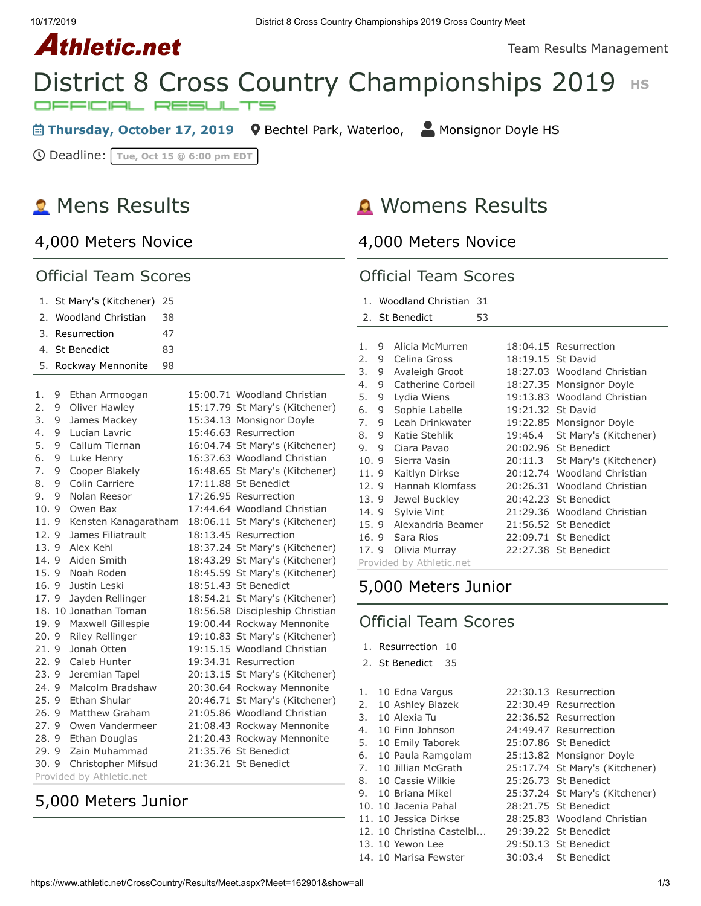

# District 8 Cross Country Championships 2019 HS

**Thursday, October 17, 2019** Q [Bechtel Park, Waterloo,](https://maps.google.com/maps?saddr=&daddr=Bechtel%20Park,%20185%20Bridge%20St.%20West,%20Waterloo%20N2K%201K8&hl=en) A [Monsignor Doyle HS](https://www.athletic.net/CrossCountry/School.aspx?SchoolID=27459)

Deadline: **Tue, Oct 15 @ 6:00 pm EDT**

# **R** Mens Results

#### [4,000 Meters Novice](https://www.athletic.net/CrossCountry/meet/162901/results/672503)

#### Official Team Scores

|  | 1. St Mary's (Kitchener) 25 |    |
|--|-----------------------------|----|
|  | 2. Woodland Christian       | 38 |
|  | 3. Resurrection             | 47 |
|  | 4. St Benedict              | 83 |
|  | 5. Rockway Mennonite        | 98 |

| 1.   | 9 | Ethan Armoogan           | 15:00.71 Woodland Christian     |
|------|---|--------------------------|---------------------------------|
| 2.   | 9 | Oliver Hawley            | 15:17.79 St Mary's (Kitchener)  |
| 3.   | 9 | James Mackey             | 15:34.13 Monsignor Doyle        |
| 4.   | 9 | Lucian Lavric            | 15:46.63 Resurrection           |
| 5.   | 9 | Callum Tiernan           | 16:04.74 St Mary's (Kitchener)  |
| 6.   | 9 | Luke Henry               | 16:37.63 Woodland Christian     |
| 7.   | 9 | Cooper Blakely           | 16:48.65 St Mary's (Kitchener)  |
| 8.   | 9 | Colin Carriere           | 17:11.88 St Benedict            |
| 9.   | 9 | Nolan Reesor             | 17:26.95 Resurrection           |
| 10.9 |   | Owen Bax                 | 17:44.64 Woodland Christian     |
| 11.9 |   | Kensten Kanagaratham     | 18:06.11 St Mary's (Kitchener)  |
| 12.9 |   | James Filiatrault        | 18:13.45 Resurrection           |
| 13.9 |   | Alex Kehl                | 18:37.24 St Mary's (Kitchener)  |
| 14.9 |   | Aiden Smith              | 18:43.29 St Mary's (Kitchener)  |
| 15.9 |   | Noah Roden               | 18:45.59 St Mary's (Kitchener)  |
| 16.9 |   | Justin Leski             | 18:51.43 St Benedict            |
| 17.9 |   | Jayden Rellinger         | 18:54.21 St Mary's (Kitchener)  |
|      |   | 18. 10 Jonathan Toman    | 18:56.58 Discipleship Christian |
| 19.9 |   | Maxwell Gillespie        | 19:00.44 Rockway Mennonite      |
| 20.9 |   | <b>Riley Rellinger</b>   | 19:10.83 St Mary's (Kitchener)  |
| 21.9 |   | Jonah Otten              | 19:15.15 Woodland Christian     |
| 22.9 |   | Caleb Hunter             | 19:34.31 Resurrection           |
| 23.9 |   | Jeremian Tapel           | 20:13.15 St Mary's (Kitchener)  |
| 24.9 |   | Malcolm Bradshaw         | 20:30.64 Rockway Mennonite      |
| 25.9 |   | Ethan Shular             | 20:46.71 St Mary's (Kitchener)  |
| 26.9 |   | Matthew Graham           | 21:05.86 Woodland Christian     |
| 27.9 |   | Owen Vandermeer          | 21:08.43 Rockway Mennonite      |
| 28.9 |   | Ethan Douglas            | 21:20.43 Rockway Mennonite      |
| 29.9 |   | Zain Muhammad            | 21:35.76 St Benedict            |
| 30.9 |   | Christopher Mifsud       | 21:36.21 St Benedict            |
|      |   | Provided by Athletic.net |                                 |

# [5,000 Meters Junior](https://www.athletic.net/CrossCountry/meet/162901/results/672504)

# **A** Womens Results

#### [4,000 Meters Novice](https://www.athletic.net/CrossCountry/meet/162901/results/672500)

#### Official Team Scores

1. [Woodland Christian](https://www.athletic.net/CrossCountry/School.aspx?SchoolID=27436) 31 2. [St Benedict](https://www.athletic.net/CrossCountry/School.aspx?SchoolID=27484) 53

| 1.   | 9                        | Alicia McMurren   |                   | 18:04.15 Resurrection       |  |  |  |
|------|--------------------------|-------------------|-------------------|-----------------------------|--|--|--|
| 2.   | 9                        | Celina Gross      | 18:19.15 St David |                             |  |  |  |
| 3.   | 9                        | Avaleigh Groot    |                   | 18:27.03 Woodland Christian |  |  |  |
| 4.   | 9                        | Catherine Corbeil | 18:27.35          | Monsignor Doyle             |  |  |  |
| 5.   | 9                        | Lydia Wiens       | 19:13.83          | Woodland Christian          |  |  |  |
| 6.   | 9                        | Sophie Labelle    | 19:21.32 St David |                             |  |  |  |
| 7.   | 9                        | Leah Drinkwater   | 19:22.85          | Monsignor Doyle             |  |  |  |
| 8.   | 9                        | Katie Stehlik     | 19:46.4           | St Mary's (Kitchener)       |  |  |  |
| 9.   | 9                        | Ciara Pavao       |                   | 20:02.96 St Benedict        |  |  |  |
| 10.9 |                          | Sierra Vasin      | 20:11.3           | St Mary's (Kitchener)       |  |  |  |
| 11.9 |                          | Kaitlyn Dirkse    |                   | 20:12.74 Woodland Christian |  |  |  |
| 12.9 |                          | Hannah Klomfass   |                   | 20:26.31 Woodland Christian |  |  |  |
| 13.9 |                          | Jewel Buckley     |                   | 20:42.23 St Benedict        |  |  |  |
| 14.9 |                          | Sylvie Vint       |                   | 21:29.36 Woodland Christian |  |  |  |
| 15.9 |                          | Alexandria Beamer |                   | 21:56.52 St Benedict        |  |  |  |
| 16.9 |                          | Sara Rios         |                   | 22:09.71 St Benedict        |  |  |  |
| 17.9 |                          | Olivia Murray     |                   | 22:27.38 St Benedict        |  |  |  |
|      | Provided by Athletic.net |                   |                   |                             |  |  |  |

#### [5,000 Meters Junior](https://www.athletic.net/CrossCountry/meet/162901/results/672501)

### Official Team Scores

- 1. [Resurrection](https://www.athletic.net/CrossCountry/School.aspx?SchoolID=27483) 10
- 2. [St Benedict](https://www.athletic.net/CrossCountry/School.aspx?SchoolID=27484) 35

| 1. | 10 Edna Vargus            | 22:30.13 Resurrection          |
|----|---------------------------|--------------------------------|
|    | 2. 10 Ashley Blazek       | 22:30.49 Resurrection          |
| 3. | 10 Alexia Tu              | 22:36.52 Resurrection          |
| 4. | 10 Finn Johnson           | 24:49.47 Resurrection          |
|    | 5. 10 Emily Taborek       | 25:07.86 St Benedict           |
| 6. | 10 Paula Ramgolam         | 25:13.82 Monsignor Doyle       |
|    | 7. 10 Jillian McGrath     | 25:17.74 St Mary's (Kitchener) |
|    | 8. 10 Cassie Wilkie       | 25:26.73 St Benedict           |
|    | 9. 10 Briana Mikel        | 25:37.24 St Mary's (Kitchener) |
|    | 10. 10 Jacenia Pahal      | 28:21.75 St Benedict           |
|    | 11. 10 Jessica Dirkse     | 28:25.83 Woodland Christian    |
|    | 12. 10 Christina Castelbl | 29:39.22 St Benedict           |
|    | 13. 10 Yewon Lee          | 29:50.13 St Benedict           |
|    | 14. 10 Marisa Fewster     | 30:03.4 St Benedict            |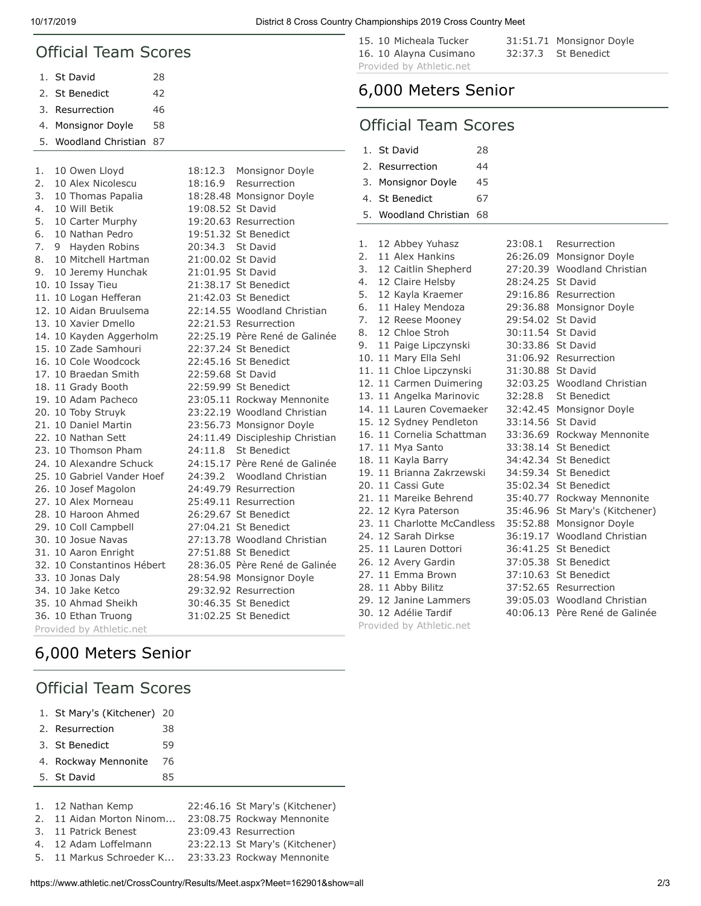#### Official Team Scores

| 1. St David           | 28 |
|-----------------------|----|
| 2. St Benedict        | 42 |
| 3. Resurrection       | 46 |
| 4. Monsignor Doyle    | 58 |
| 5. Woodland Christian | 87 |

| 1. | 10 Owen Lloyd              |                   | 18:12.3 Monsignor Doyle         |
|----|----------------------------|-------------------|---------------------------------|
| 2. | 10 Alex Nicolescu          |                   | 18:16.9 Resurrection            |
| 3. | 10 Thomas Papalia          |                   | 18:28.48 Monsignor Doyle        |
| 4. | 10 Will Betik              | 19:08.52 St David |                                 |
| 5. | 10 Carter Murphy           |                   | 19:20.63 Resurrection           |
| 6. | 10 Nathan Pedro            |                   | 19:51.32 St Benedict            |
| 7. | Hayden Robins<br>9         | 20:34.3 St David  |                                 |
| 8. | 10 Mitchell Hartman        | 21:00.02 St David |                                 |
| 9. | 10 Jeremy Hunchak          | 21:01.95 St David |                                 |
|    | 10. 10 Issay Tieu          |                   | 21:38.17 St Benedict            |
|    | 11. 10 Logan Hefferan      |                   | 21:42.03 St Benedict            |
|    | 12. 10 Aidan Bruulsema     |                   | 22:14.55 Woodland Christian     |
|    | 13. 10 Xavier Dmello       |                   | 22:21.53 Resurrection           |
|    | 14. 10 Kayden Aggerholm    |                   | 22:25.19 Père René de Galinée   |
|    | 15. 10 Zade Samhouri       |                   | 22:37.24 St Benedict            |
|    | 16. 10 Cole Woodcock       |                   | 22:45.16 St Benedict            |
|    | 17. 10 Braedan Smith       | 22:59.68 St David |                                 |
|    | 18. 11 Grady Booth         |                   | 22:59.99 St Benedict            |
|    | 19. 10 Adam Pacheco        |                   | 23:05.11 Rockway Mennonite      |
|    | 20. 10 Toby Struyk         |                   | 23:22.19 Woodland Christian     |
|    | 21. 10 Daniel Martin       |                   | 23:56.73 Monsignor Doyle        |
|    | 22. 10 Nathan Sett         |                   | 24:11.49 Discipleship Christian |
|    | 23. 10 Thomson Pham        |                   | 24:11.8 St Benedict             |
|    | 24. 10 Alexandre Schuck    |                   | 24:15.17 Père René de Galinée   |
|    | 25. 10 Gabriel Vander Hoef |                   | 24:39.2 Woodland Christian      |
|    | 26. 10 Josef Magolon       |                   | 24:49.79 Resurrection           |
|    | 27. 10 Alex Morneau        |                   | 25:49.11 Resurrection           |
|    | 28. 10 Haroon Ahmed        |                   | 26:29.67 St Benedict            |
|    | 29. 10 Coll Campbell       |                   | 27:04.21 St Benedict            |
|    | 30. 10 Josue Navas         |                   | 27:13.78 Woodland Christian     |
|    | 31. 10 Aaron Enright       |                   | 27:51.88 St Benedict            |
|    | 32. 10 Constantinos Hébert |                   | 28:36.05 Père René de Galinée   |
|    | 33. 10 Jonas Daly          |                   | 28:54.98 Monsignor Doyle        |
|    | 34. 10 Jake Ketco          |                   | 29:32.92 Resurrection           |
|    | 35. 10 Ahmad Sheikh        |                   | 30:46.35 St Benedict            |
|    | 36. 10 Ethan Truong        |                   | 31:02.25 St Benedict            |
|    | Provided by Athletic.net   |                   |                                 |

#### 16. 10 Alayna Cusimano 32:37.3 St Benedict Provided by Athletic.net

15. 10 Micheala Tucker 31:51.71 Monsignor Doyle

### [6,000 Meters Senior](https://www.athletic.net/CrossCountry/meet/162901/results/672502)

#### Official Team Scores

| 1. | St David                    | 28 |                   |                               |  |
|----|-----------------------------|----|-------------------|-------------------------------|--|
| 2. | Resurrection                | 44 |                   |                               |  |
| 3. | Monsignor Doyle             | 45 |                   |                               |  |
| 4. | St Benedict                 | 67 |                   |                               |  |
| 5. | <b>Woodland Christian</b>   | 68 |                   |                               |  |
|    |                             |    |                   |                               |  |
| 1. | 12 Abbey Yuhasz             |    | 23:08.1           | Resurrection                  |  |
| 2. | 11 Alex Hankins             |    | 26:26.09          | Monsignor Doyle               |  |
| 3. | 12 Caitlin Shepherd         |    |                   | 27:20.39 Woodland Christian   |  |
| 4. | 12 Claire Helsby            |    | 28:24.25 St David |                               |  |
| 5. | 12 Kayla Kraemer            |    |                   | 29:16.86 Resurrection         |  |
| 6. | 11 Haley Mendoza            |    | 29:36.88          | Monsignor Doyle               |  |
| 7. | 12 Reese Mooney             |    | 29:54.02          | St David                      |  |
| 8. | 12 Chloe Stroh              |    | 30:11.54          | St David                      |  |
| 9. | 11 Paige Lipczynski         |    | 30:33.86 St David |                               |  |
|    | 10. 11 Mary Ella Sehl       |    |                   | 31:06.92 Resurrection         |  |
|    | 11. 11 Chloe Lipczynski     |    | 31:30.88 St David |                               |  |
|    | 12. 11 Carmen Duimering     |    |                   | 32:03.25 Woodland Christian   |  |
|    | 13. 11 Angelka Marinovic    |    | 32:28.8           | <b>St Benedict</b>            |  |
|    | 14. 11 Lauren Covemaeker    |    |                   | 32:42.45 Monsignor Doyle      |  |
|    | 15. 12 Sydney Pendleton     |    | 33:14.56 St David |                               |  |
|    | 16. 11 Cornelia Schattman   |    |                   | 33:36.69 Rockway Mennonite    |  |
|    | 17. 11 Mya Santo            |    | 33:38.14          | <b>St Benedict</b>            |  |
|    | 18. 11 Kayla Barry          |    | 34:42.34          | <b>St Benedict</b>            |  |
|    | 19. 11 Brianna Zakrzewski   |    | 34:59.34          | St Benedict                   |  |
|    | 20. 11 Cassi Gute           |    | 35:02.34          | <b>St Benedict</b>            |  |
|    | 21. 11 Mareike Behrend      |    | 35:40.77          | Rockway Mennonite             |  |
|    | 22. 12 Kyra Paterson        |    | 35:46.96          | St Mary's (Kitchener)         |  |
|    | 23. 11 Charlotte McCandless |    | 35:52.88          | Monsignor Doyle               |  |
|    | 24. 12 Sarah Dirkse         |    | 36:19.17          | Woodland Christian            |  |
|    | 25. 11 Lauren Dottori       |    | 36:41.25          | <b>St Benedict</b>            |  |
|    | 26. 12 Avery Gardin         |    |                   | 37:05.38 St Benedict          |  |
|    | 27. 11 Emma Brown           |    |                   | 37:10.63 St Benedict          |  |
|    | 28. 11 Abby Bilitz          |    |                   | 37:52.65 Resurrection         |  |
|    | 29. 12 Janine Lammers       |    |                   | 39:05.03 Woodland Christian   |  |
|    | 30. 12 Adélie Tardif        |    |                   | 40:06.13 Père René de Galinée |  |
|    | Provided by Athletic.net    |    |                   |                               |  |

Provided by Athletic.net

# [6,000 Meters Senior](https://www.athletic.net/CrossCountry/meet/162901/results/672505)

# Official Team Scores

|    | 1. St Mary's (Kitchener) 20 |    |                                |
|----|-----------------------------|----|--------------------------------|
|    | 2. Resurrection             | 38 |                                |
|    | 3. St Benedict              | 59 |                                |
|    | 4. Rockway Mennonite        | 76 |                                |
|    | 5. St David                 | 85 |                                |
|    |                             |    |                                |
|    | 1. 12 Nathan Kemp           |    | 22:46.16 St Mary's (Kitchener) |
| 2. | 11 Aidan Morton Ninom       |    | 23:08.75 Rockway Mennonite     |
| 3. | 11 Patrick Benest           |    | 23:09.43 Resurrection          |
|    | 4. 12 Adam Loffelmann       |    | 23:22.13 St Mary's (Kitchener) |

- 
- 5. 11 Markus Schroeder K... 23:33.23 Rockway Mennonite
	-